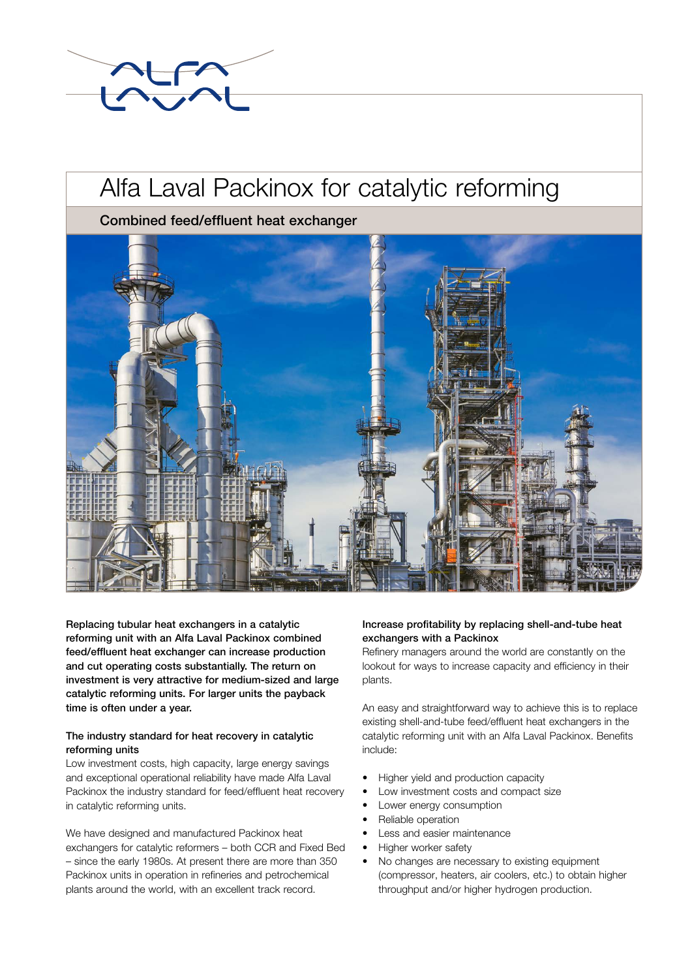

# Alfa Laval Packinox for catalytic reforming

Combined feed/effluent heat exchanger



Replacing tubular heat exchangers in a catalytic reforming unit with an Alfa Laval Packinox combined feed/effluent heat exchanger can increase production and cut operating costs substantially. The return on investment is very attractive for medium-sized and large catalytic reforming units. For larger units the payback time is often under a year.

# The industry standard for heat recovery in catalytic reforming units

Low investment costs, high capacity, large energy savings and exceptional operational reliability have made Alfa Laval Packinox the industry standard for feed/effluent heat recovery in catalytic reforming units.

We have designed and manufactured Packinox heat exchangers for catalytic reformers – both CCR and Fixed Bed – since the early 1980s. At present there are more than 350 Packinox units in operation in refineries and petrochemical plants around the world, with an excellent track record.

# Increase profitability by replacing shell-and-tube heat exchangers with a Packinox

Refinery managers around the world are constantly on the lookout for ways to increase capacity and efficiency in their plants.

An easy and straightforward way to achieve this is to replace existing shell-and-tube feed/effluent heat exchangers in the catalytic reforming unit with an Alfa Laval Packinox. Benefits include:

- Higher yield and production capacity
- Low investment costs and compact size
- Lower energy consumption
- Reliable operation
- Less and easier maintenance
- Higher worker safety
- No changes are necessary to existing equipment (compressor, heaters, air coolers, etc.) to obtain higher throughput and/or higher hydrogen production.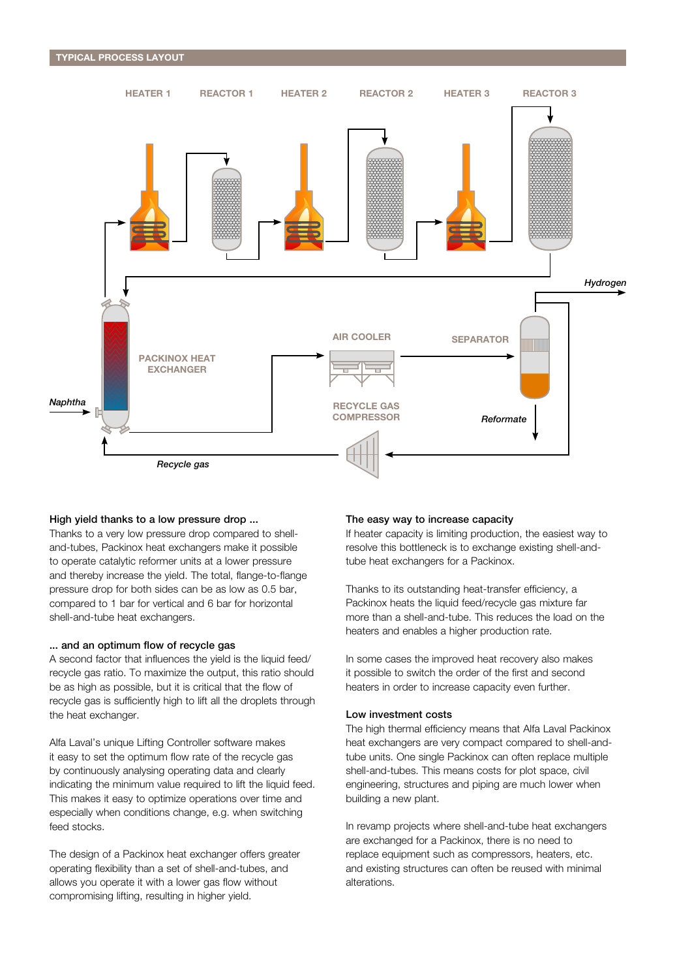

#### High yield thanks to a low pressure drop ...

Thanks to a very low pressure drop compared to shelland-tubes, Packinox heat exchangers make it possible to operate catalytic reformer units at a lower pressure and thereby increase the yield. The total, flange-to-flange pressure drop for both sides can be as low as 0.5 bar, compared to 1 bar for vertical and 6 bar for horizontal shell-and-tube heat exchangers.

#### ... and an optimum flow of recycle gas

A second factor that influences the yield is the liquid feed/ recycle gas ratio. To maximize the output, this ratio should be as high as possible, but it is critical that the flow of recycle gas is sufficiently high to lift all the droplets through the heat exchanger.

Alfa Laval's unique Lifting Controller software makes it easy to set the optimum flow rate of the recycle gas by continuously analysing operating data and clearly indicating the minimum value required to lift the liquid feed. This makes it easy to optimize operations over time and especially when conditions change, e.g. when switching feed stocks.

The design of a Packinox heat exchanger offers greater operating flexibility than a set of shell-and-tubes, and allows you operate it with a lower gas flow without compromising lifting, resulting in higher yield.

#### The easy way to increase capacity

If heater capacity is limiting production, the easiest way to resolve this bottleneck is to exchange existing shell-andtube heat exchangers for a Packinox.

Thanks to its outstanding heat-transfer efficiency, a Packinox heats the liquid feed/recycle gas mixture far more than a shell-and-tube. This reduces the load on the heaters and enables a higher production rate.

In some cases the improved heat recovery also makes it possible to switch the order of the first and second heaters in order to increase capacity even further.

#### Low investment costs

The high thermal efficiency means that Alfa Laval Packinox heat exchangers are very compact compared to shell-andtube units. One single Packinox can often replace multiple shell-and-tubes. This means costs for plot space, civil engineering, structures and piping are much lower when building a new plant.

In revamp projects where shell-and-tube heat exchangers are exchanged for a Packinox, there is no need to replace equipment such as compressors, heaters, etc. and existing structures can often be reused with minimal alterations.